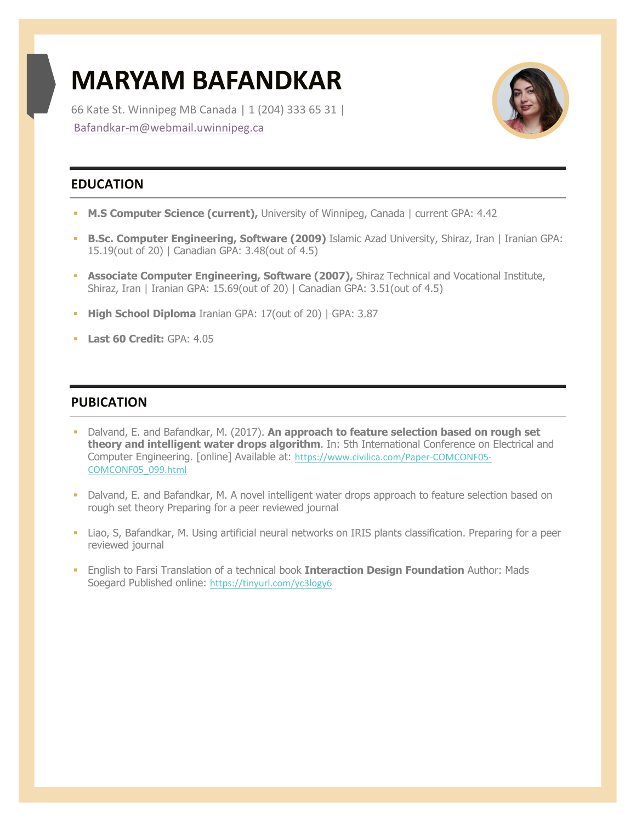# **MARYAM BAFANDKAR**

66 Kate St. Winnipeg MB Canada | 1 (204) 333 65 31 | Bafandkar-m@webmail.uwinnipeg.ca



## **EDUCATION**

- § **M.S Computer Science (current),** University of Winnipeg, Canada | current GPA: 4.42
- § **B.Sc. Computer Engineering, Software (2009)** Islamic Azad University, Shiraz, Iran | Iranian GPA: 15.19(out of 20) | Canadian GPA: 3.48(out of 4.5)
- **Associate Computer Engineering, Software (2007), Shiraz Technical and Vocational Institute,** Shiraz, Iran | Iranian GPA: 15.69(out of 20) | Canadian GPA: 3.51(out of 4.5)
- § **High School Diploma** Iranian GPA: 17(out of 20) | GPA: 3.87
- § **Last 60 Credit:** GPA: 4.05

## **PUBICATION**

- § Dalvand, E. and Bafandkar, M. (2017). **An approach to feature selection based on rough set theory and intelligent water drops algorithm**. In: 5th International Conference on Electrical and Computer Engineering. [online] Available at: https://www.civilica.com/Paper-COMCONF05- COMCONF05\_099.html
- § Dalvand, E. and Bafandkar, M. A novel intelligent water drops approach to feature selection based on rough set theory Preparing for a peer reviewed journal
- § Liao, S, Bafandkar, M. Using artificial neural networks on IRIS plants classification. Preparing for a peer reviewed journal
- § English to Farsi Translation of a technical book **Interaction Design Foundation** Author: Mads Soegard Published online: https://tinyurl.com/yc3logy6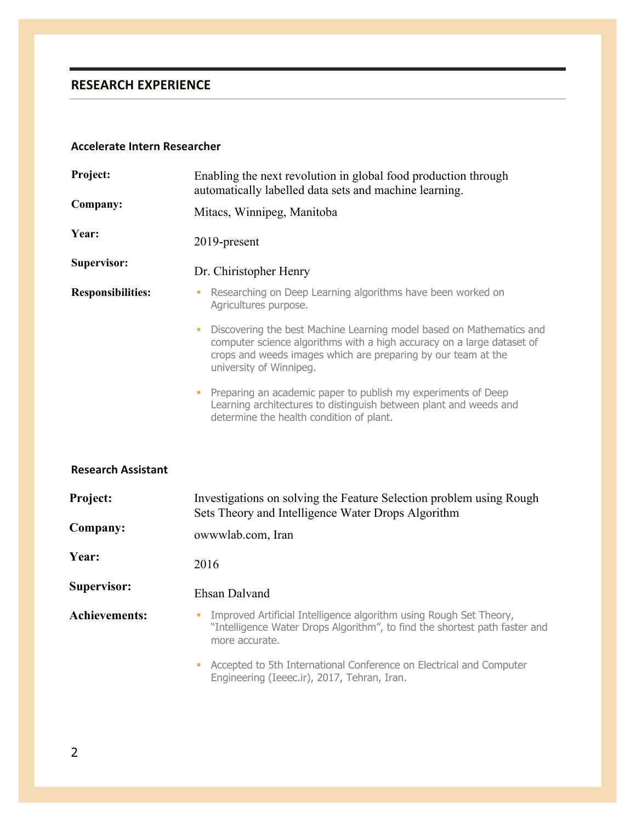# **RESEARCH EXPERIENCE**

#### **Accelerate Intern Researcher**

| Project:<br>Company:      | Enabling the next revolution in global food production through<br>automatically labelled data sets and machine learning.                                                                                                                         |
|---------------------------|--------------------------------------------------------------------------------------------------------------------------------------------------------------------------------------------------------------------------------------------------|
|                           | Mitacs, Winnipeg, Manitoba                                                                                                                                                                                                                       |
| Year:                     | 2019-present                                                                                                                                                                                                                                     |
| <b>Supervisor:</b>        | Dr. Chiristopher Henry                                                                                                                                                                                                                           |
| <b>Responsibilities:</b>  | Researching on Deep Learning algorithms have been worked on<br>Agricultures purpose.                                                                                                                                                             |
|                           | Discovering the best Machine Learning model based on Mathematics and<br>Ù,<br>computer science algorithms with a high accuracy on a large dataset of<br>crops and weeds images which are preparing by our team at the<br>university of Winnipeg. |
|                           | Preparing an academic paper to publish my experiments of Deep<br>Learning architectures to distinguish between plant and weeds and<br>determine the health condition of plant.                                                                   |
| <b>Research Assistant</b> |                                                                                                                                                                                                                                                  |
| Project:                  | Investigations on solving the Feature Selection problem using Rough<br>Sets Theory and Intelligence Water Drops Algorithm                                                                                                                        |
| Company:                  | owwwlab.com, Iran                                                                                                                                                                                                                                |
| Year:                     | 2016                                                                                                                                                                                                                                             |
| <b>Supervisor:</b>        | <b>Ehsan Dalvand</b>                                                                                                                                                                                                                             |
| <b>Achievements:</b>      | Improved Artificial Intelligence algorithm using Rough Set Theory,<br>Ù,<br>"Intelligence Water Drops Algorithm", to find the shortest path faster and<br>more accurate.                                                                         |
|                           | Accepted to 5th International Conference on Electrical and Computer<br>ш<br>Engineering (Ieeec.ir), 2017, Tehran, Iran.                                                                                                                          |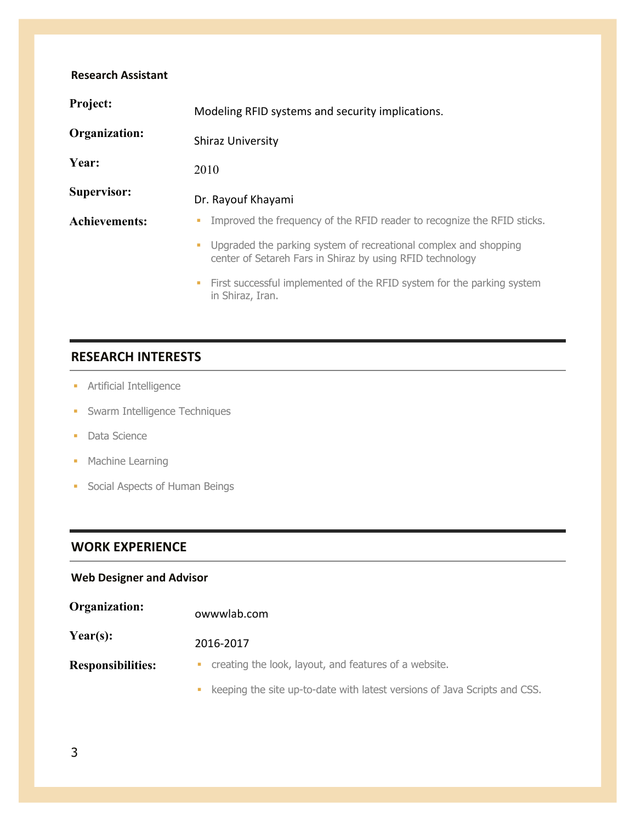| <b>Research Assistant</b> |                                                                                                                               |
|---------------------------|-------------------------------------------------------------------------------------------------------------------------------|
| Project:                  | Modeling RFID systems and security implications.                                                                              |
| Organization:             | <b>Shiraz University</b>                                                                                                      |
| Year:                     | 2010                                                                                                                          |
| Supervisor:               | Dr. Rayouf Khayami                                                                                                            |
| <b>Achievements:</b>      | Improved the frequency of the RFID reader to recognize the RFID sticks.                                                       |
|                           | Upgraded the parking system of recreational complex and shopping<br>center of Setareh Fars in Shiraz by using RFID technology |
|                           | First successful implemented of the RFID system for the parking system<br>٠<br>in Shiraz, Iran.                               |

# **RESEARCH INTERESTS**

- **•** Artificial Intelligence
- **•** Swarm Intelligence Techniques
- Data Science
- Machine Learning
- § Social Aspects of Human Beings

# **WORK EXPERIENCE**

## **Web Designer and Advisor**

| Organization:            | owwwlab.com                                                               |
|--------------------------|---------------------------------------------------------------------------|
| Year(s):                 | 2016-2017                                                                 |
| <b>Responsibilities:</b> | creating the look, layout, and features of a website.                     |
|                          | keeping the site up-to-date with latest versions of Java Scripts and CSS. |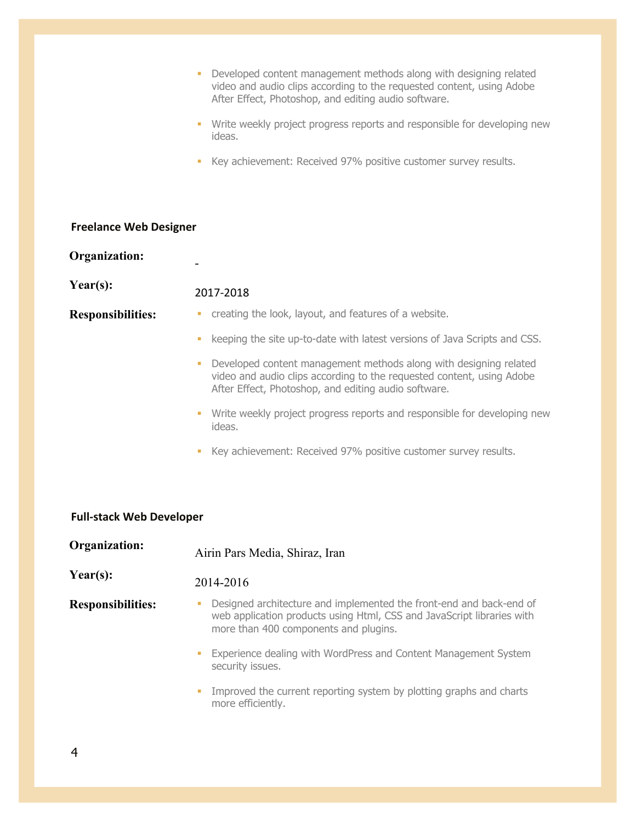|                                 | Developed content management methods along with designing related<br>a,<br>video and audio clips according to the requested content, using Adobe<br>After Effect, Photoshop, and editing audio software. |  |  |
|---------------------------------|----------------------------------------------------------------------------------------------------------------------------------------------------------------------------------------------------------|--|--|
|                                 | Write weekly project progress reports and responsible for developing new<br>$\blacksquare$<br>ideas.                                                                                                     |  |  |
|                                 | Key achievement: Received 97% positive customer survey results.<br>ш                                                                                                                                     |  |  |
|                                 |                                                                                                                                                                                                          |  |  |
| <b>Freelance Web Designer</b>   |                                                                                                                                                                                                          |  |  |
| <b>Organization:</b>            |                                                                                                                                                                                                          |  |  |
| Year(s):                        | 2017-2018                                                                                                                                                                                                |  |  |
| <b>Responsibilities:</b>        | creating the look, layout, and features of a website.<br>a,                                                                                                                                              |  |  |
|                                 | keeping the site up-to-date with latest versions of Java Scripts and CSS.<br>a,                                                                                                                          |  |  |
|                                 | Developed content management methods along with designing related<br>a,<br>video and audio clips according to the requested content, using Adobe<br>After Effect, Photoshop, and editing audio software. |  |  |
|                                 | Write weekly project progress reports and responsible for developing new<br>$\blacksquare$<br>ideas.                                                                                                     |  |  |
|                                 | Key achievement: Received 97% positive customer survey results.<br>a,                                                                                                                                    |  |  |
|                                 |                                                                                                                                                                                                          |  |  |
| <b>Full-stack Web Developer</b> |                                                                                                                                                                                                          |  |  |
| <b>Organization:</b>            | Airin Pars Media, Shiraz, Iran                                                                                                                                                                           |  |  |
| Year(s):                        | 2014-2016                                                                                                                                                                                                |  |  |
| <b>Responsibilities:</b>        | Designed architecture and implemented the front-end and back-end of<br>ш<br>web application products using Html, CSS and JavaScript libraries with<br>more than 400 components and plugins.              |  |  |
|                                 | Experience dealing with WordPress and Content Management System<br>п<br>security issues.                                                                                                                 |  |  |
|                                 | Improved the current reporting system by plotting graphs and charts<br>п<br>more efficiently.                                                                                                            |  |  |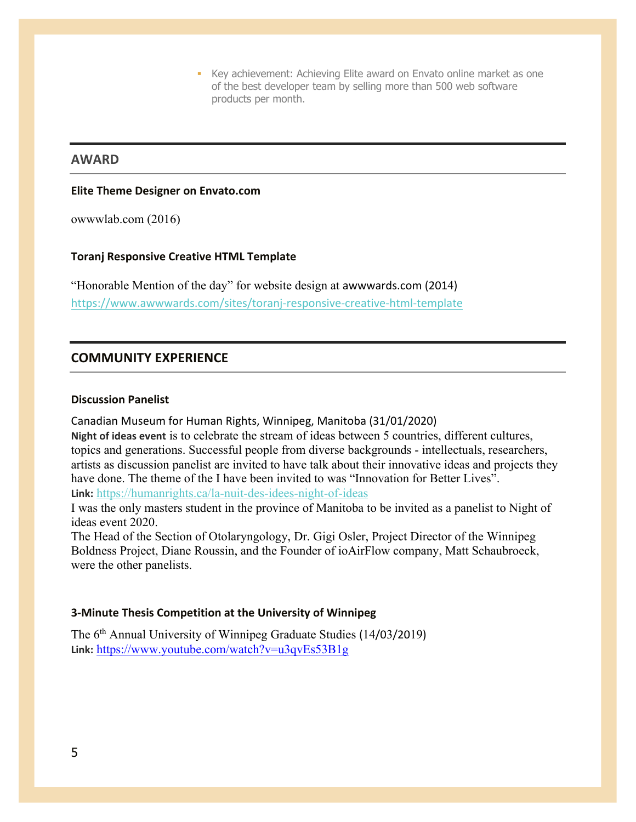■ Key achievement: Achieving Elite award on Envato online market as one of the best developer team by selling more than 500 web software products per month.

## **AWARD**

#### **Elite Theme Designer on Envato.com**

owwwlab.com (2016)

#### **Toranj Responsive Creative HTML Template**

"Honorable Mention of the day" for website design at awwwards.com (2014) https://www.awwwards.com/sites/toranj-responsive-creative-html-template

## **COMMUNITY EXPERIENCE**

#### **Discussion Panelist**

Canadian Museum for Human Rights, Winnipeg, Manitoba (31/01/2020)

**Night of ideas event** is to celebrate the stream of ideas between 5 countries, different cultures, topics and generations. Successful people from diverse backgrounds - intellectuals, researchers, artists as discussion panelist are invited to have talk about their innovative ideas and projects they have done. The theme of the I have been invited to was "Innovation for Better Lives". **Link:** https://humanrights.ca/la-nuit-des-idees-night-of-ideas

I was the only masters student in the province of Manitoba to be invited as a panelist to Night of ideas event 2020.

The Head of the Section of Otolaryngology, Dr. Gigi Osler, Project Director of the Winnipeg Boldness Project, Diane Roussin, and the Founder of ioAirFlow company, Matt Schaubroeck, were the other panelists.

#### **3-Minute Thesis Competition at the University of Winnipeg**

The 6<sup>th</sup> Annual University of Winnipeg Graduate Studies (14/03/2019) **Link:** https://www.youtube.com/watch?v=u3qvEs53B1g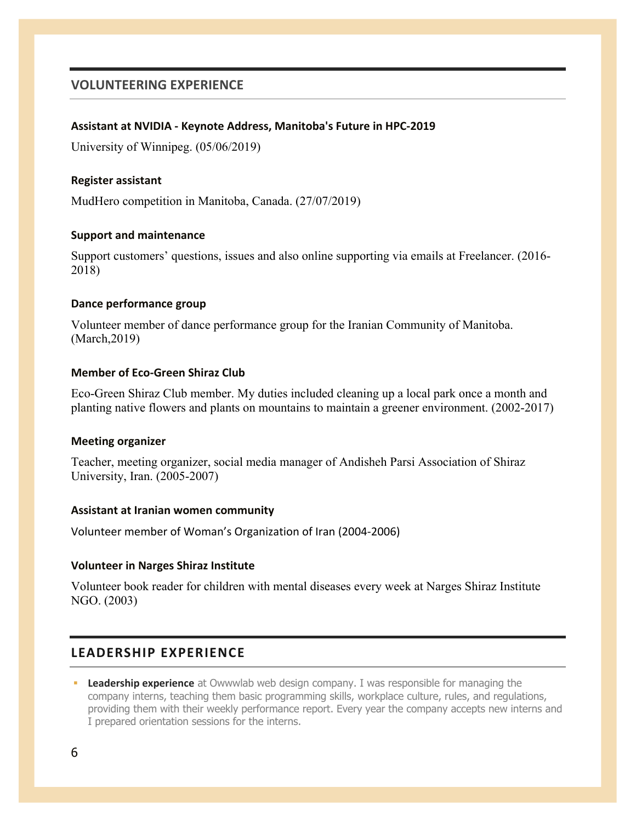## **VOLUNTEERING EXPERIENCE**

#### **Assistant at NVIDIA - Keynote Address, Manitoba's Future in HPC-2019**

University of Winnipeg. (05/06/2019)

#### **Register assistant**

MudHero competition in Manitoba, Canada. (27/07/2019)

#### **Support and maintenance**

Support customers' questions, issues and also online supporting via emails at Freelancer. (2016- 2018)

#### **Dance performance group**

Volunteer member of dance performance group for the Iranian Community of Manitoba. (March,2019)

#### **Member of Eco-Green Shiraz Club**

Eco-Green Shiraz Club member. My duties included cleaning up a local park once a month and planting native flowers and plants on mountains to maintain a greener environment. (2002-2017)

#### **Meeting organizer**

Teacher, meeting organizer, social media manager of Andisheh Parsi Association of Shiraz University, Iran. (2005-2007)

#### **Assistant at Iranian women community**

Volunteer member of Woman's Organization of Iran (2004-2006)

#### **Volunteer in Narges Shiraz Institute**

Volunteer book reader for children with mental diseases every week at Narges Shiraz Institute NGO. (2003)

## **LEADERSHIP EXPERIENCE**

**• Leadership experience** at Owwwlab web design company. I was responsible for managing the company interns, teaching them basic programming skills, workplace culture, rules, and regulations, providing them with their weekly performance report. Every year the company accepts new interns and I prepared orientation sessions for the interns.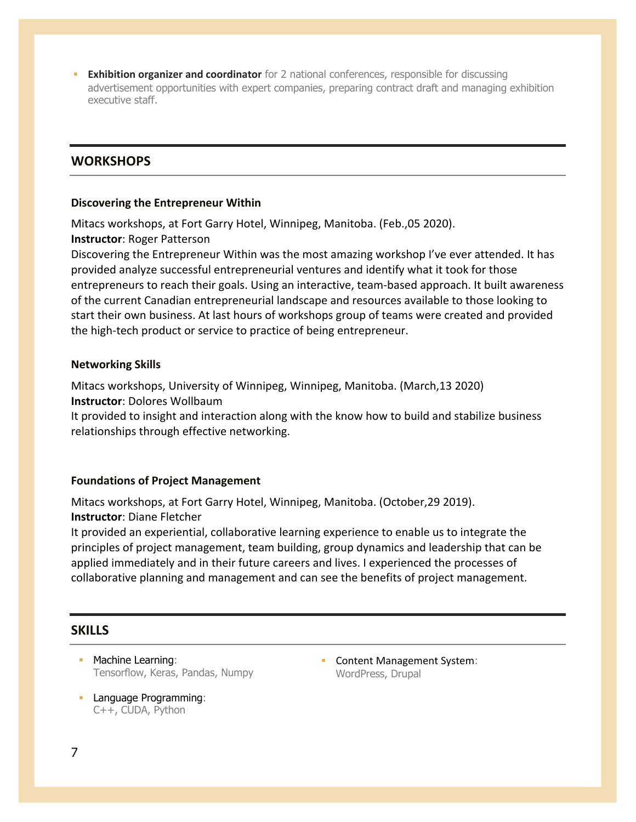**Exhibition organizer and coordinator** for 2 national conferences, responsible for discussing advertisement opportunities with expert companies, preparing contract draft and managing exhibition executive staff.

## **WORKSHOPS**

#### **Discovering the Entrepreneur Within**

Mitacs workshops, at Fort Garry Hotel, Winnipeg, Manitoba. (Feb.,05 2020). **Instructor**: Roger Patterson

Discovering the Entrepreneur Within was the most amazing workshop I've ever attended. It has provided analyze successful entrepreneurial ventures and identify what it took for those entrepreneurs to reach their goals. Using an interactive, team-based approach. It built awareness of the current Canadian entrepreneurial landscape and resources available to those looking to start their own business. At last hours of workshops group of teams were created and provided the high-tech product or service to practice of being entrepreneur.

#### **Networking Skills**

Mitacs workshops, University of Winnipeg, Winnipeg, Manitoba. (March,13 2020) **Instructor**: Dolores Wollbaum

It provided to insight and interaction along with the know how to build and stabilize business relationships through effective networking.

## **Foundations of Project Management**

Mitacs workshops, at Fort Garry Hotel, Winnipeg, Manitoba. (October,29 2019). **Instructor**: Diane Fletcher

It provided an experiential, collaborative learning experience to enable us to integrate the principles of project management, team building, group dynamics and leadership that can be applied immediately and in their future careers and lives. I experienced the processes of collaborative planning and management and can see the benefits of project management.

## **SKILLS**

- Machine Learning: Tensorflow, Keras, Pandas, Numpy
- **Language Programming:** C++, CUDA, Python

■ Content Management System: WordPress, Drupal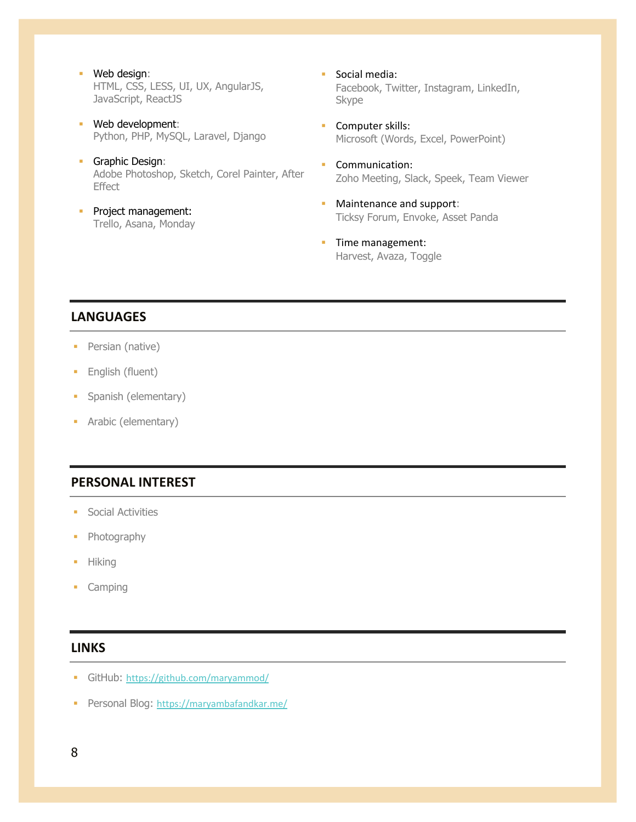- § Web design: HTML, CSS, LESS, UI, UX, AngularJS, JavaScript, ReactJS
- § Web development: Python, PHP, MySQL, Laravel, Django
- Graphic Design: Adobe Photoshop, Sketch, Corel Painter, After **Effect**
- **•** Project management: Trello, Asana, Monday
- Social media: Facebook, Twitter, Instagram, LinkedIn, Skype
- Computer skills: Microsoft (Words, Excel, PowerPoint)
- Communication: Zoho Meeting, Slack, Speek, Team Viewer
- Maintenance and support: Ticksy Forum, Envoke, Asset Panda
- **•** Time management: Harvest, Avaza, Toggle

## **LANGUAGES**

- Persian (native)
- English (fluent)
- Spanish (elementary)
- Arabic (elementary)

## **PERSONAL INTEREST**

- § Social Activities
- Photography
- § Hiking
- § Camping

## **LINKS**

- GitHub: https://github.com/maryammod/
- Personal Blog: https://maryambafandkar.me/